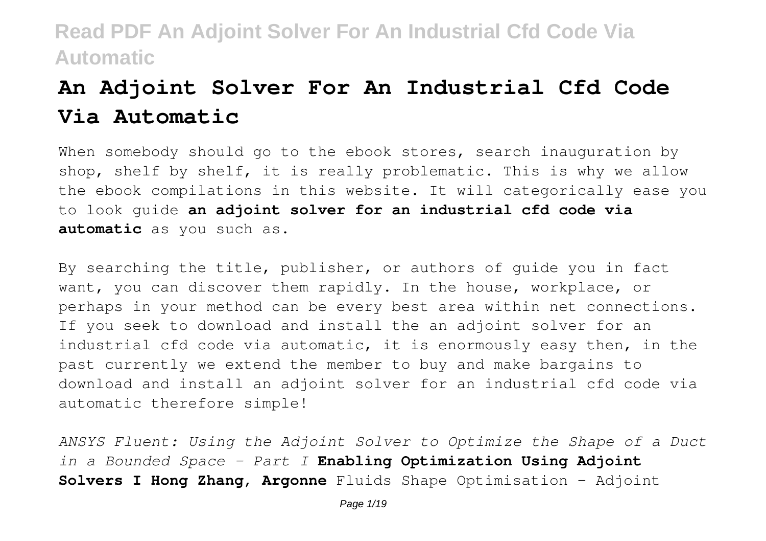# **An Adjoint Solver For An Industrial Cfd Code Via Automatic**

When somebody should go to the ebook stores, search inauguration by shop, shelf by shelf, it is really problematic. This is why we allow the ebook compilations in this website. It will categorically ease you to look guide **an adjoint solver for an industrial cfd code via automatic** as you such as.

By searching the title, publisher, or authors of guide you in fact want, you can discover them rapidly. In the house, workplace, or perhaps in your method can be every best area within net connections. If you seek to download and install the an adjoint solver for an industrial cfd code via automatic, it is enormously easy then, in the past currently we extend the member to buy and make bargains to download and install an adjoint solver for an industrial cfd code via automatic therefore simple!

*ANSYS Fluent: Using the Adjoint Solver to Optimize the Shape of a Duct in a Bounded Space - Part I* **Enabling Optimization Using Adjoint Solvers I Hong Zhang, Argonne** Fluids Shape Optimisation - Adjoint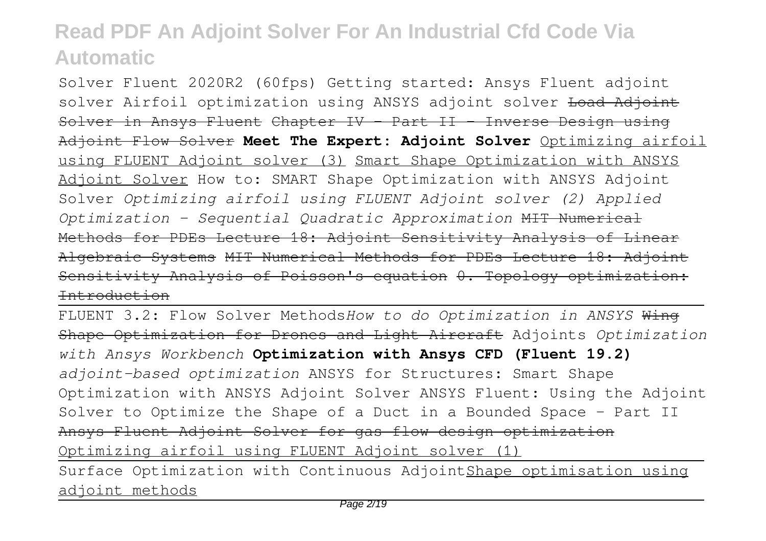Solver Fluent 2020R2 (60fps) Getting started: Ansys Fluent adjoint solver Airfoil optimization using ANSYS adjoint solver <del>Load Adjoint</del> Solver in Ansys Fluent Chapter IV - Part II - Inverse Design using Adjoint Flow Solver **Meet The Expert: Adjoint Solver** Optimizing airfoil using FLUENT Adjoint solver (3) Smart Shape Optimization with ANSYS Adjoint Solver How to: SMART Shape Optimization with ANSYS Adjoint Solver *Optimizing airfoil using FLUENT Adjoint solver (2) Applied Optimization - Sequential Quadratic Approximation* MIT Numerical Methods for PDEs Lecture 18: Adjoint Sensitivity Analysis of Linear Algebraic Systems MIT Numerical Methods for PDEs Lecture 18: Adjoint Sensitivity Analysis of Poisson's equation 0. Topology optimization: Introduction

FLUENT 3.2: Flow Solver Methods*How to do Optimization in ANSYS* Wing Shape Optimization for Drones and Light Aircraft Adjoints *Optimization with Ansys Workbench* **Optimization with Ansys CFD (Fluent 19.2)** *adjoint-based optimization* ANSYS for Structures: Smart Shape Optimization with ANSYS Adjoint Solver ANSYS Fluent: Using the Adjoint Solver to Optimize the Shape of a Duct in a Bounded Space - Part II Ansys Fluent Adjoint Solver for gas flow design optimization Optimizing airfoil using FLUENT Adjoint solver (1) Surface Optimization with Continuous AdjointShape optimisation using adjoint methods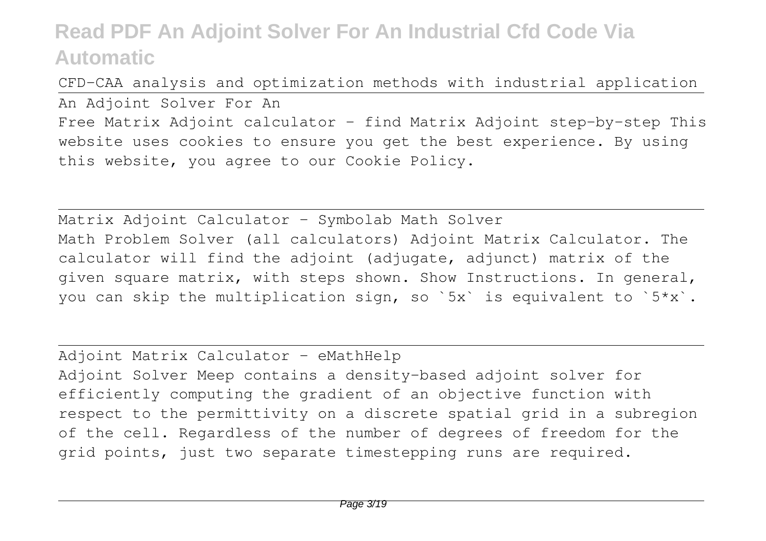CFD-CAA analysis and optimization methods with industrial application An Adjoint Solver For An Free Matrix Adjoint calculator - find Matrix Adjoint step-by-step This website uses cookies to ensure you get the best experience. By using this website, you agree to our Cookie Policy.

Matrix Adjoint Calculator - Symbolab Math Solver Math Problem Solver (all calculators) Adjoint Matrix Calculator. The calculator will find the adjoint (adjugate, adjunct) matrix of the given square matrix, with steps shown. Show Instructions. In general, you can skip the multiplication sign, so `5x` is equivalent to `5\*x`.

Adjoint Matrix Calculator - eMathHelp Adjoint Solver Meep contains a density-based adjoint solver for efficiently computing the gradient of an objective function with respect to the permittivity on a discrete spatial grid in a subregion of the cell. Regardless of the number of degrees of freedom for the grid points, just two separate timestepping runs are required.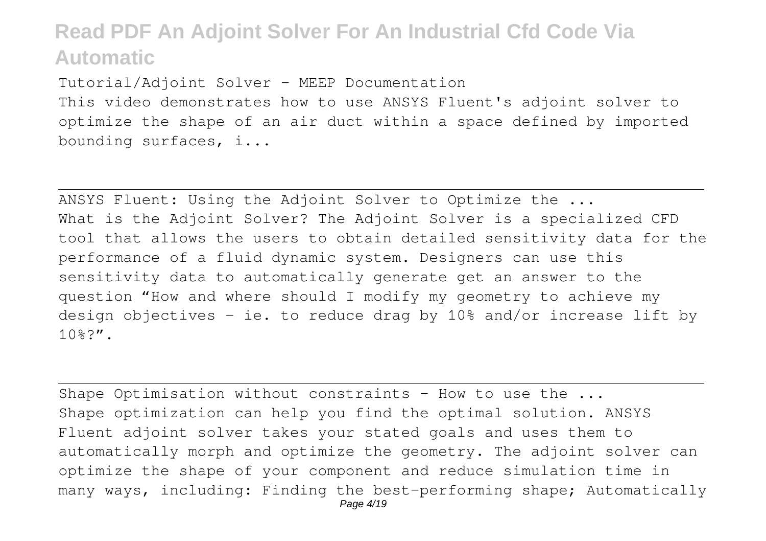Tutorial/Adjoint Solver - MEEP Documentation

This video demonstrates how to use ANSYS Fluent's adjoint solver to optimize the shape of an air duct within a space defined by imported bounding surfaces, i...

ANSYS Fluent: Using the Adjoint Solver to Optimize the ... What is the Adjoint Solver? The Adjoint Solver is a specialized CFD tool that allows the users to obtain detailed sensitivity data for the performance of a fluid dynamic system. Designers can use this sensitivity data to automatically generate get an answer to the question "How and where should I modify my geometry to achieve my design objectives - ie. to reduce drag by 10% and/or increase lift by 10%?".

Shape Optimisation without constraints – How to use the ... Shape optimization can help you find the optimal solution. ANSYS Fluent adjoint solver takes your stated goals and uses them to automatically morph and optimize the geometry. The adjoint solver can optimize the shape of your component and reduce simulation time in many ways, including: Finding the best-performing shape; Automatically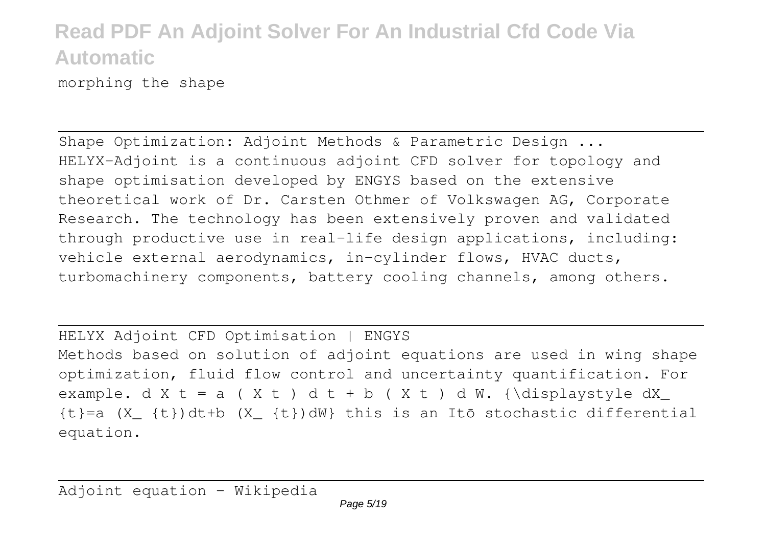morphing the shape

Shape Optimization: Adjoint Methods & Parametric Design ... HELYX-Adjoint is a continuous adjoint CFD solver for topology and shape optimisation developed by ENGYS based on the extensive theoretical work of Dr. Carsten Othmer of Volkswagen AG, Corporate Research. The technology has been extensively proven and validated through productive use in real-life design applications, including: vehicle external aerodynamics, in-cylinder flows, HVAC ducts, turbomachinery components, battery cooling channels, among others.

HELYX Adjoint CFD Optimisation | ENGYS Methods based on solution of adjoint equations are used in wing shape optimization, fluid flow control and uncertainty quantification. For example. d X t = a ( X t ) d t + b ( X t ) d W. {\displaystyle dX  $\{t\}$ =a  $(X_{\_} \{t\})$ dt+b  $(X_{\_} \{t\})$ dW} this is an Itō stochastic differential equation.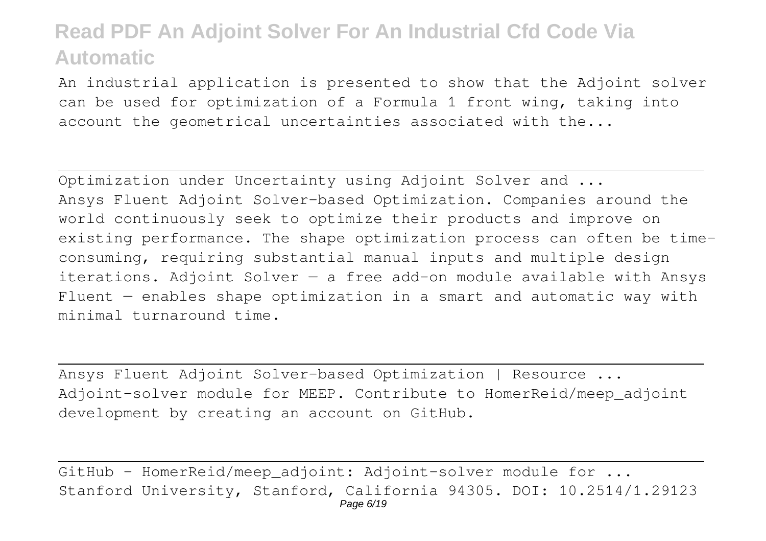An industrial application is presented to show that the Adjoint solver can be used for optimization of a Formula 1 front wing, taking into account the geometrical uncertainties associated with the...

Optimization under Uncertainty using Adjoint Solver and ... Ansys Fluent Adjoint Solver-based Optimization. Companies around the world continuously seek to optimize their products and improve on existing performance. The shape optimization process can often be timeconsuming, requiring substantial manual inputs and multiple design iterations. Adjoint Solver  $-$  a free add-on module available with Ansys Fluent — enables shape optimization in a smart and automatic way with minimal turnaround time.

Ansys Fluent Adjoint Solver-based Optimization | Resource ... Adjoint-solver module for MEEP. Contribute to HomerReid/meep\_adjoint development by creating an account on GitHub.

GitHub - HomerReid/meep adjoint: Adjoint-solver module for ... Stanford University, Stanford, California 94305. DOI: 10.2514/1.29123 Page 6/19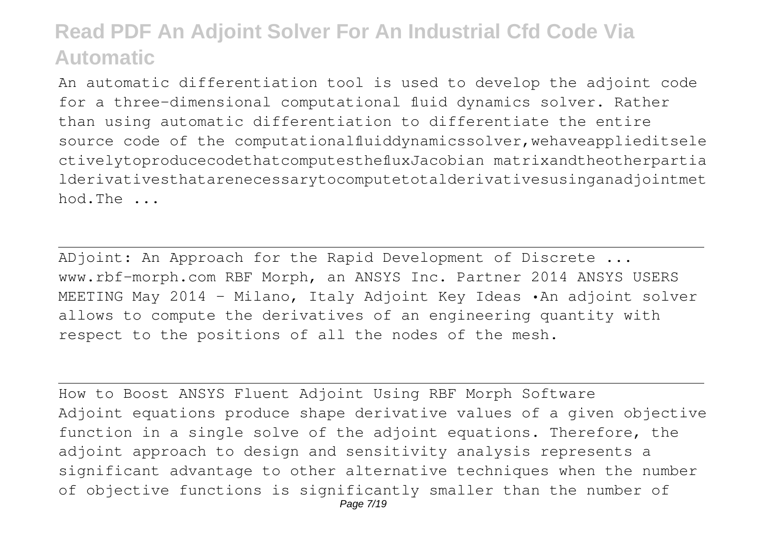An automatic differentiation tool is used to develop the adjoint code for a three-dimensional computational fluid dynamics solver. Rather than using automatic differentiation to differentiate the entire source code of the computationalfluiddynamicssolver,wehaveapplieditsele ctivelytoproducecodethatcomputesthefluxJacobian matrixandtheotherpartia lderivativesthatarenecessarytocomputetotalderivativesusinganadjointmet hod.The ...

ADjoint: An Approach for the Rapid Development of Discrete ... www.rbf-morph.com RBF Morph, an ANSYS Inc. Partner 2014 ANSYS USERS MEETING May 2014 - Milano, Italy Adjoint Key Ideas •An adjoint solver allows to compute the derivatives of an engineering quantity with respect to the positions of all the nodes of the mesh.

How to Boost ANSYS Fluent Adjoint Using RBF Morph Software Adjoint equations produce shape derivative values of a given objective function in a single solve of the adjoint equations. Therefore, the adjoint approach to design and sensitivity analysis represents a significant advantage to other alternative techniques when the number of objective functions is significantly smaller than the number of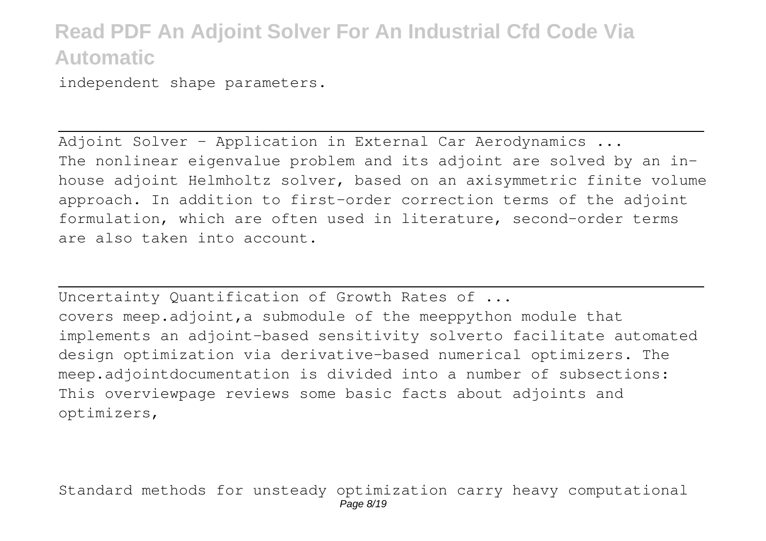independent shape parameters.

Adjoint Solver - Application in External Car Aerodynamics ... The nonlinear eigenvalue problem and its adjoint are solved by an inhouse adjoint Helmholtz solver, based on an axisymmetric finite volume approach. In addition to first-order correction terms of the adjoint formulation, which are often used in literature, second-order terms are also taken into account.

Uncertainty Quantification of Growth Rates of ... covers meep.adjoint,a submodule of the meeppython module that implements an adjoint-based sensitivity solverto facilitate automated design optimization via derivative-based numerical optimizers. The meep.adjointdocumentation is divided into a number of subsections: This overviewpage reviews some basic facts about adjoints and optimizers,

Standard methods for unsteady optimization carry heavy computational Page 8/19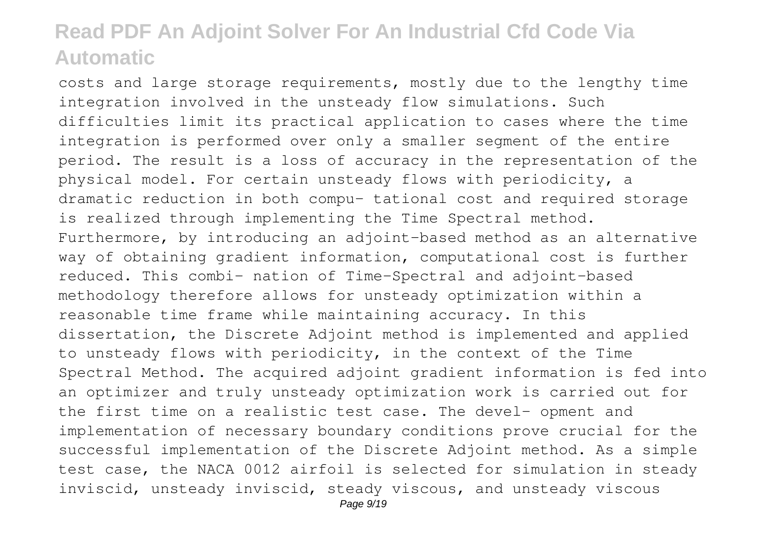costs and large storage requirements, mostly due to the lengthy time integration involved in the unsteady flow simulations. Such difficulties limit its practical application to cases where the time integration is performed over only a smaller segment of the entire period. The result is a loss of accuracy in the representation of the physical model. For certain unsteady flows with periodicity, a dramatic reduction in both compu- tational cost and required storage is realized through implementing the Time Spectral method. Furthermore, by introducing an adjoint-based method as an alternative way of obtaining gradient information, computational cost is further reduced. This combi- nation of Time-Spectral and adjoint-based methodology therefore allows for unsteady optimization within a reasonable time frame while maintaining accuracy. In this dissertation, the Discrete Adjoint method is implemented and applied to unsteady flows with periodicity, in the context of the Time Spectral Method. The acquired adjoint gradient information is fed into an optimizer and truly unsteady optimization work is carried out for the first time on a realistic test case. The devel- opment and implementation of necessary boundary conditions prove crucial for the successful implementation of the Discrete Adjoint method. As a simple test case, the NACA 0012 airfoil is selected for simulation in steady inviscid, unsteady inviscid, steady viscous, and unsteady viscous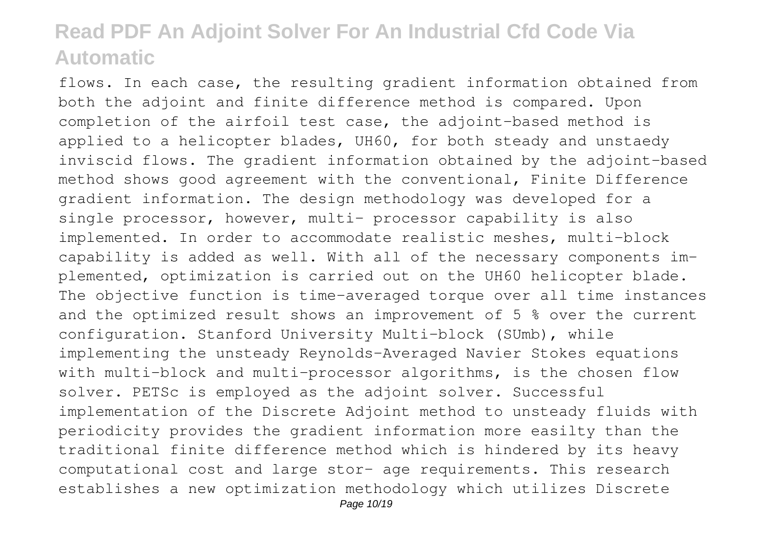flows. In each case, the resulting gradient information obtained from both the adjoint and finite difference method is compared. Upon completion of the airfoil test case, the adjoint-based method is applied to a helicopter blades, UH60, for both steady and unstaedy inviscid flows. The gradient information obtained by the adjoint-based method shows good agreement with the conventional, Finite Difference gradient information. The design methodology was developed for a single processor, however, multi- processor capability is also implemented. In order to accommodate realistic meshes, multi-block capability is added as well. With all of the necessary components implemented, optimization is carried out on the UH60 helicopter blade. The objective function is time-averaged torque over all time instances and the optimized result shows an improvement of 5 % over the current configuration. Stanford University Multi-block (SUmb), while implementing the unsteady Reynolds-Averaged Navier Stokes equations with multi-block and multi-processor algorithms, is the chosen flow solver. PETSc is employed as the adjoint solver. Successful implementation of the Discrete Adjoint method to unsteady fluids with periodicity provides the gradient information more easilty than the traditional finite difference method which is hindered by its heavy computational cost and large stor- age requirements. This research establishes a new optimization methodology which utilizes Discrete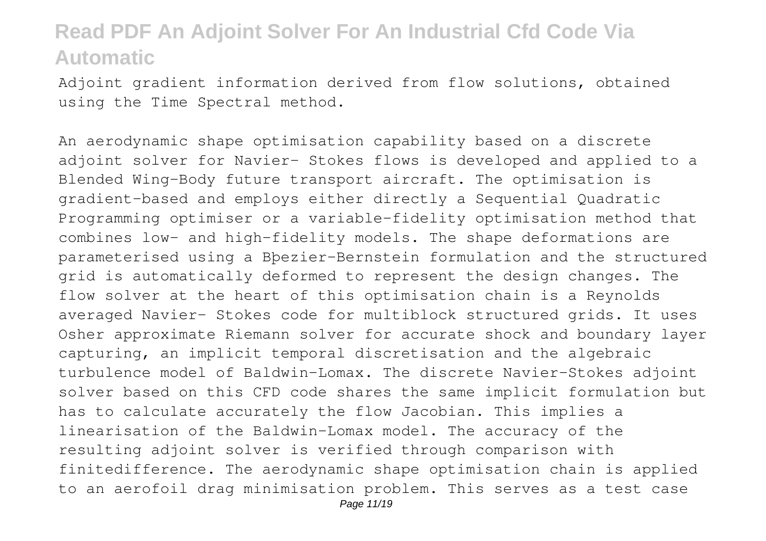Adjoint gradient information derived from flow solutions, obtained using the Time Spectral method.

An aerodynamic shape optimisation capability based on a discrete adjoint solver for Navier- Stokes flows is developed and applied to a Blended Wing-Body future transport aircraft. The optimisation is gradient-based and employs either directly a Sequential Quadratic Programming optimiser or a variable-fidelity optimisation method that combines low- and high-fidelity models. The shape deformations are parameterised using a Bþezier-Bernstein formulation and the structured grid is automatically deformed to represent the design changes. The flow solver at the heart of this optimisation chain is a Reynolds averaged Navier- Stokes code for multiblock structured grids. It uses Osher approximate Riemann solver for accurate shock and boundary layer capturing, an implicit temporal discretisation and the algebraic turbulence model of Baldwin-Lomax. The discrete Navier-Stokes adjoint solver based on this CFD code shares the same implicit formulation but has to calculate accurately the flow Jacobian. This implies a linearisation of the Baldwin-Lomax model. The accuracy of the resulting adjoint solver is verified through comparison with finitedifference. The aerodynamic shape optimisation chain is applied to an aerofoil drag minimisation problem. This serves as a test case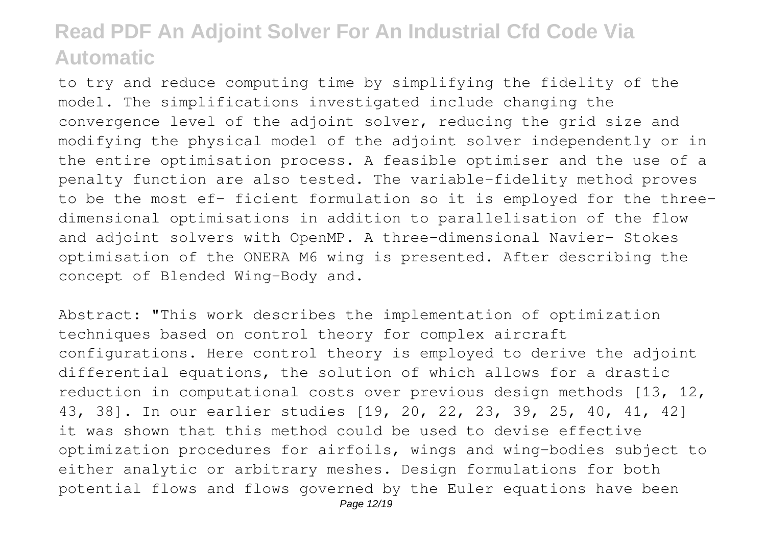to try and reduce computing time by simplifying the fidelity of the model. The simplifications investigated include changing the convergence level of the adjoint solver, reducing the grid size and modifying the physical model of the adjoint solver independently or in the entire optimisation process. A feasible optimiser and the use of a penalty function are also tested. The variable-fidelity method proves to be the most ef- ficient formulation so it is employed for the threedimensional optimisations in addition to parallelisation of the flow and adjoint solvers with OpenMP. A three-dimensional Navier- Stokes optimisation of the ONERA M6 wing is presented. After describing the concept of Blended Wing-Body and.

Abstract: "This work describes the implementation of optimization techniques based on control theory for complex aircraft configurations. Here control theory is employed to derive the adjoint differential equations, the solution of which allows for a drastic reduction in computational costs over previous design methods [13, 12, 43, 38]. In our earlier studies [19, 20, 22, 23, 39, 25, 40, 41, 42] it was shown that this method could be used to devise effective optimization procedures for airfoils, wings and wing-bodies subject to either analytic or arbitrary meshes. Design formulations for both potential flows and flows governed by the Euler equations have been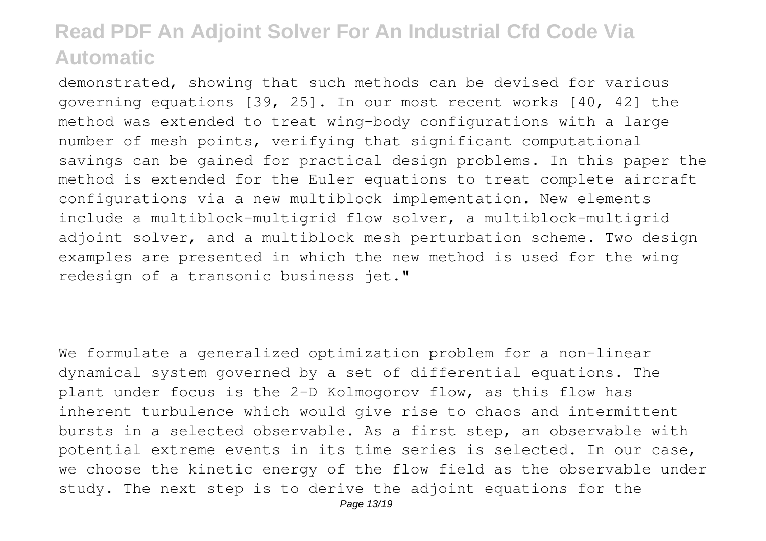demonstrated, showing that such methods can be devised for various governing equations [39, 25]. In our most recent works [40, 42] the method was extended to treat wing-body configurations with a large number of mesh points, verifying that significant computational savings can be gained for practical design problems. In this paper the method is extended for the Euler equations to treat complete aircraft configurations via a new multiblock implementation. New elements include a multiblock-multigrid flow solver, a multiblock-multigrid adjoint solver, and a multiblock mesh perturbation scheme. Two design examples are presented in which the new method is used for the wing redesign of a transonic business jet."

We formulate a generalized optimization problem for a non-linear dynamical system governed by a set of differential equations. The plant under focus is the 2-D Kolmogorov flow, as this flow has inherent turbulence which would give rise to chaos and intermittent bursts in a selected observable. As a first step, an observable with potential extreme events in its time series is selected. In our case, we choose the kinetic energy of the flow field as the observable under study. The next step is to derive the adjoint equations for the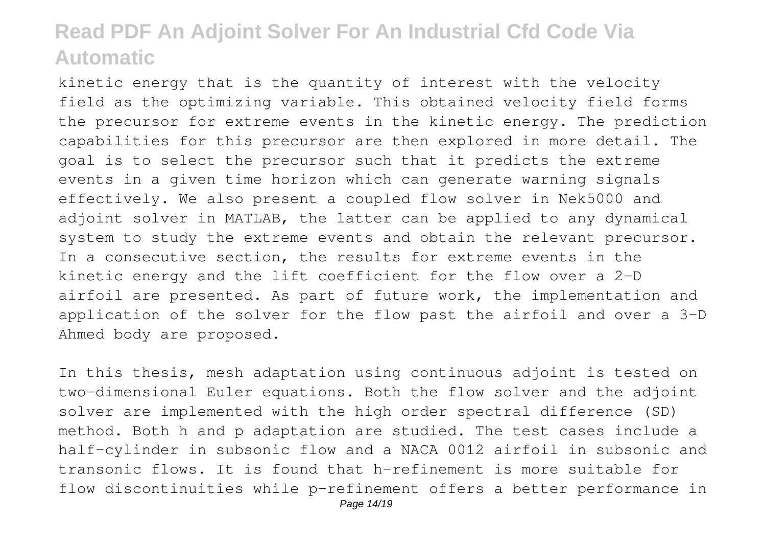kinetic energy that is the quantity of interest with the velocity field as the optimizing variable. This obtained velocity field forms the precursor for extreme events in the kinetic energy. The prediction capabilities for this precursor are then explored in more detail. The goal is to select the precursor such that it predicts the extreme events in a given time horizon which can generate warning signals effectively. We also present a coupled flow solver in Nek5000 and adjoint solver in MATLAB, the latter can be applied to any dynamical system to study the extreme events and obtain the relevant precursor. In a consecutive section, the results for extreme events in the kinetic energy and the lift coefficient for the flow over a 2-D airfoil are presented. As part of future work, the implementation and application of the solver for the flow past the airfoil and over a 3-D Ahmed body are proposed.

In this thesis, mesh adaptation using continuous adjoint is tested on two-dimensional Euler equations. Both the flow solver and the adjoint solver are implemented with the high order spectral difference (SD) method. Both h and p adaptation are studied. The test cases include a half-cylinder in subsonic flow and a NACA 0012 airfoil in subsonic and transonic flows. It is found that h-refinement is more suitable for flow discontinuities while p-refinement offers a better performance in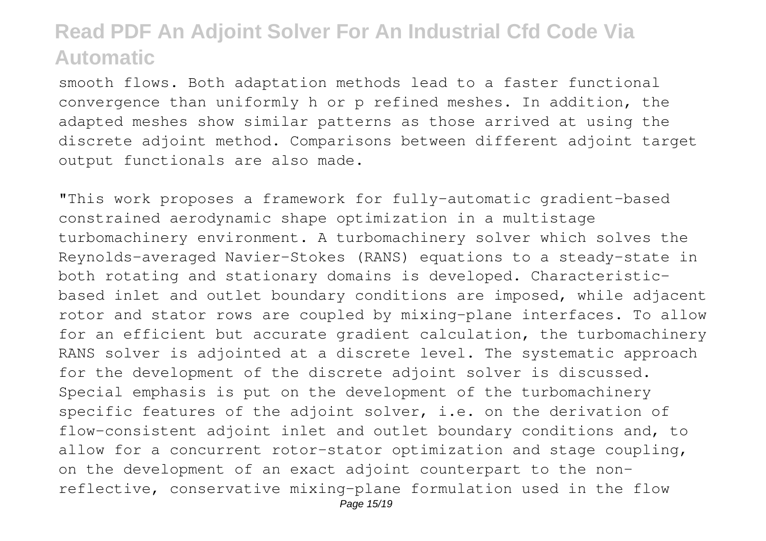smooth flows. Both adaptation methods lead to a faster functional convergence than uniformly h or p refined meshes. In addition, the adapted meshes show similar patterns as those arrived at using the discrete adjoint method. Comparisons between different adjoint target output functionals are also made.

"This work proposes a framework for fully-automatic gradient-based constrained aerodynamic shape optimization in a multistage turbomachinery environment. A turbomachinery solver which solves the Reynolds-averaged Navier-Stokes (RANS) equations to a steady-state in both rotating and stationary domains is developed. Characteristicbased inlet and outlet boundary conditions are imposed, while adjacent rotor and stator rows are coupled by mixing-plane interfaces. To allow for an efficient but accurate gradient calculation, the turbomachinery RANS solver is adjointed at a discrete level. The systematic approach for the development of the discrete adjoint solver is discussed. Special emphasis is put on the development of the turbomachinery specific features of the adjoint solver, i.e. on the derivation of flow-consistent adjoint inlet and outlet boundary conditions and, to allow for a concurrent rotor-stator optimization and stage coupling, on the development of an exact adjoint counterpart to the nonreflective, conservative mixing-plane formulation used in the flow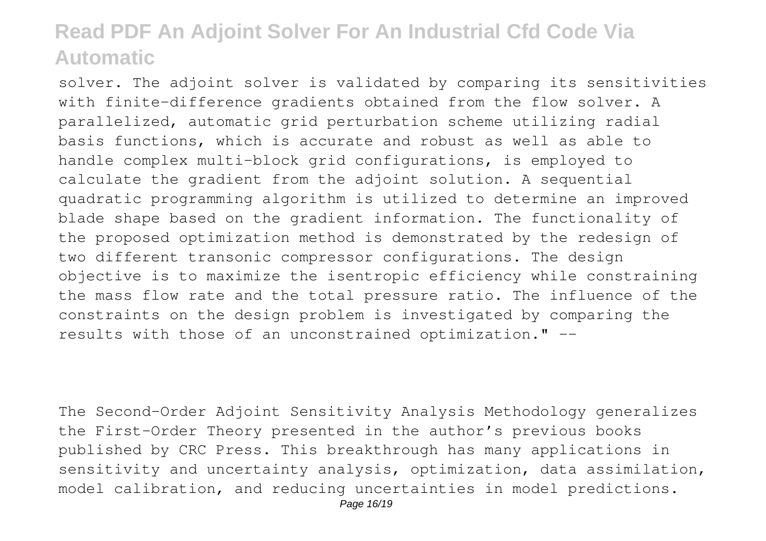solver. The adjoint solver is validated by comparing its sensitivities with finite-difference gradients obtained from the flow solver. A parallelized, automatic grid perturbation scheme utilizing radial basis functions, which is accurate and robust as well as able to handle complex multi-block grid configurations, is employed to calculate the gradient from the adjoint solution. A sequential quadratic programming algorithm is utilized to determine an improved blade shape based on the gradient information. The functionality of the proposed optimization method is demonstrated by the redesign of two different transonic compressor configurations. The design objective is to maximize the isentropic efficiency while constraining the mass flow rate and the total pressure ratio. The influence of the constraints on the design problem is investigated by comparing the results with those of an unconstrained optimization." --

The Second-Order Adjoint Sensitivity Analysis Methodology generalizes the First-Order Theory presented in the author's previous books published by CRC Press. This breakthrough has many applications in sensitivity and uncertainty analysis, optimization, data assimilation, model calibration, and reducing uncertainties in model predictions.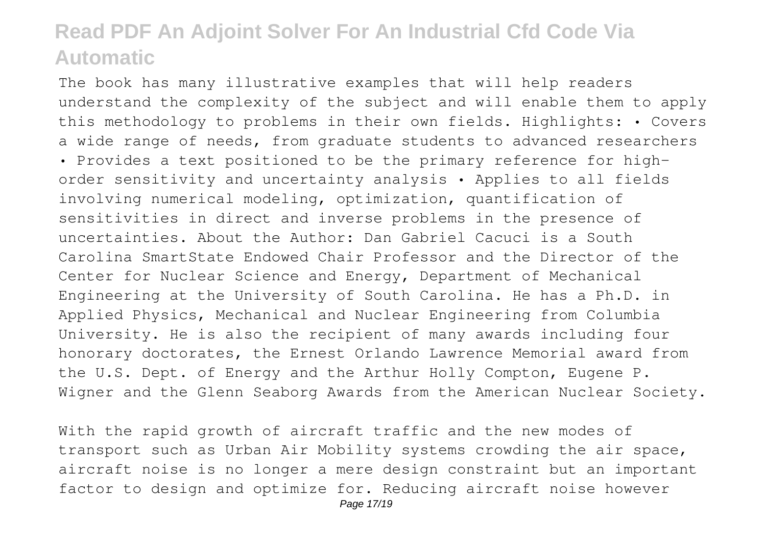The book has many illustrative examples that will help readers understand the complexity of the subject and will enable them to apply this methodology to problems in their own fields. Highlights: • Covers a wide range of needs, from graduate students to advanced researchers • Provides a text positioned to be the primary reference for highorder sensitivity and uncertainty analysis • Applies to all fields involving numerical modeling, optimization, quantification of sensitivities in direct and inverse problems in the presence of uncertainties. About the Author: Dan Gabriel Cacuci is a South Carolina SmartState Endowed Chair Professor and the Director of the Center for Nuclear Science and Energy, Department of Mechanical Engineering at the University of South Carolina. He has a Ph.D. in Applied Physics, Mechanical and Nuclear Engineering from Columbia University. He is also the recipient of many awards including four honorary doctorates, the Ernest Orlando Lawrence Memorial award from the U.S. Dept. of Energy and the Arthur Holly Compton, Eugene P. Wigner and the Glenn Seaborg Awards from the American Nuclear Society.

With the rapid growth of aircraft traffic and the new modes of transport such as Urban Air Mobility systems crowding the air space, aircraft noise is no longer a mere design constraint but an important factor to design and optimize for. Reducing aircraft noise however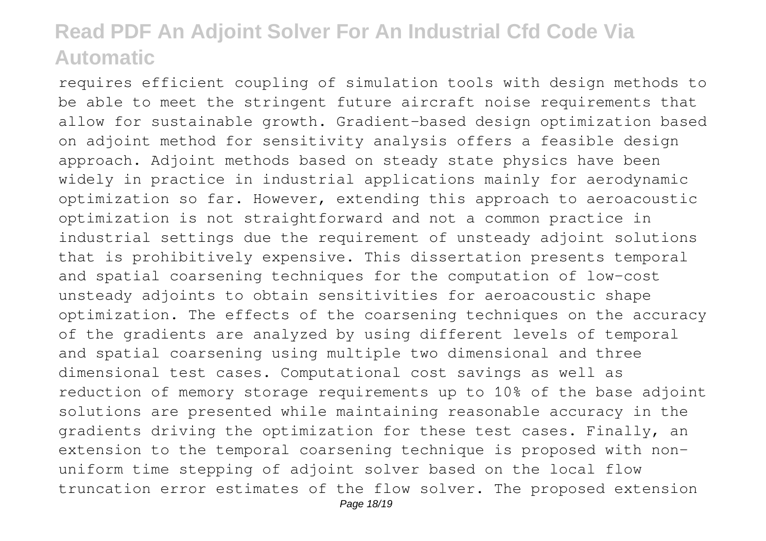requires efficient coupling of simulation tools with design methods to be able to meet the stringent future aircraft noise requirements that allow for sustainable growth. Gradient-based design optimization based on adjoint method for sensitivity analysis offers a feasible design approach. Adjoint methods based on steady state physics have been widely in practice in industrial applications mainly for aerodynamic optimization so far. However, extending this approach to aeroacoustic optimization is not straightforward and not a common practice in industrial settings due the requirement of unsteady adjoint solutions that is prohibitively expensive. This dissertation presents temporal and spatial coarsening techniques for the computation of low-cost unsteady adjoints to obtain sensitivities for aeroacoustic shape optimization. The effects of the coarsening techniques on the accuracy of the gradients are analyzed by using different levels of temporal and spatial coarsening using multiple two dimensional and three dimensional test cases. Computational cost savings as well as reduction of memory storage requirements up to 10% of the base adjoint solutions are presented while maintaining reasonable accuracy in the gradients driving the optimization for these test cases. Finally, an extension to the temporal coarsening technique is proposed with nonuniform time stepping of adjoint solver based on the local flow truncation error estimates of the flow solver. The proposed extension